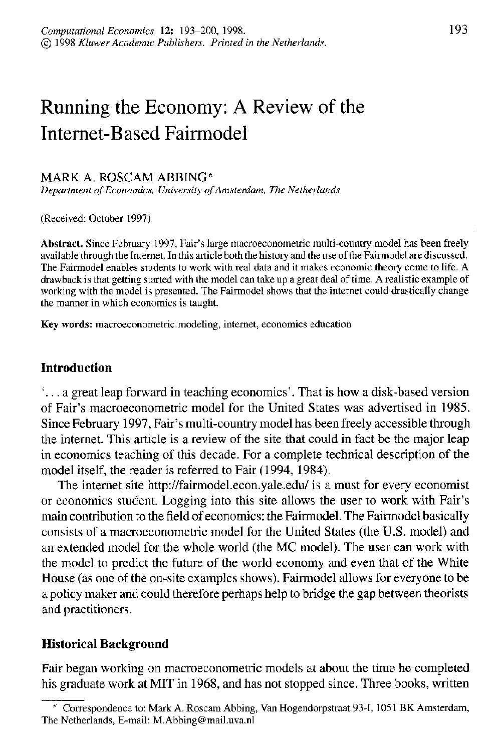# Running the Economy: A Review of the Internet-Based Fairmodel

#### MARK A. ROSCAM ABBING\*

Department of Economics, University of Amsterdam, The Netherlands

(Received: October 1997)

Abstract. Since February 1997, Fair's large macroeconometric multi-country model has been freely available through the Internet. In this article both the history and the use of the Fairmodel are discussed. The Fairmodel enables students to work with real data and it makes economic theory come to life. A drawback is **that getting started with the** model can take up a great deal of time. A realistic example of working with the model is presented. The Fairmodel shows that the internet could drastically change the manner in which economics is taught.

Key words: macroeconometric modeling, internet, economics education

# **Introduction**

 $\ldots$  a great leap forward in teaching economics'. That is how a disk-based version of Fair's macroeconometric model for the United States was advertised in 1985. Since February 1997, Fair's multi-country model has been freely accessible through the internet. This article is a review of the site that could in fact be the major leap in economics teaching of this decade. For a complete technical description of the model itself, the reader is referred to Fair (1994, 1984).

The intemet site http://fairmodel.econ.yale.edu/ is a must for every economist or economics student. Logging into this site allows the user to work with Fair's main contribution to the field of economics: the Fairmodel. The Fairmodel basically consists of a macroeconometric model for the United States (the U.S. model) and an extended model for the whole world (the MC model). The user can work with the model to predict the future of the world economy and even that of the White House (as one of the on-site examples shows). Fairmodel allows for everyone to be a policy maker and could therefore perhaps help to bridge the gap between theorists and practitioners.

#### **Historical Background**

Fair began working on macroeconometric models at about the time he completed his graduate work at MIT in 1968, and has not stopped since. Three books, written

<sup>\*</sup> **Correspondence to:** Mark A. Roscam Abbing, Van Hogendorpstraat 93-L 1051 BK Amsterdam, The Netherlands, E-mail: M.Abbing@mail.uva.nl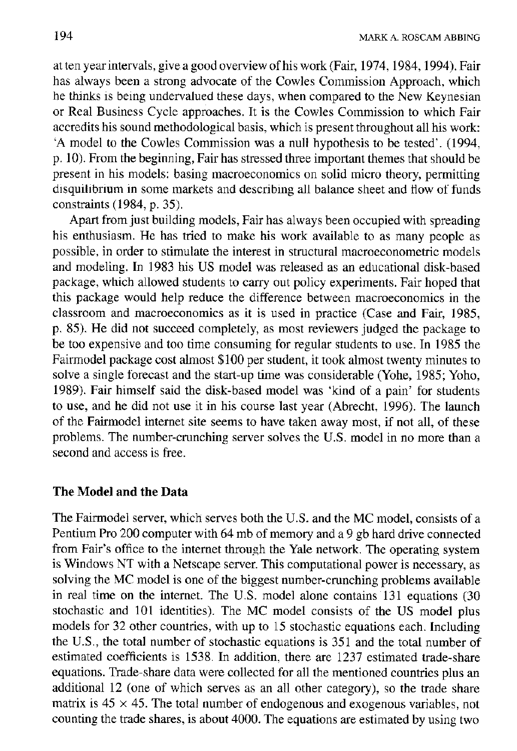at ten yearintervals, givea good overview ofhis work (Fair, 1974, 1984,1994). Fair has always been a strong advocate of the Cowles Commission Approach, which he thinks is being undervalued these days, when compared to the New Keynesian or Real Business Cycle approaches. It is the Cowles Commission to which Fair accredits his sound methodological basis, which is present throughout all his work: 'A model to the Cowles Commission was a null hypothesis to be tested'. (1994, p. 10). From the beginning, Fair has stressed three important themes that should be present in his models: basing macroeconomics on solid micro theory, permitting disquilibrium in some markets and describing all balance sheet and flow of funds constraints (1984, p. 35).

Apart from just building models, Fair has always been occupied with spreading his enthusiasm. He has tried to make his work available to as many people as possible, in order to stimulate the interest in structural macroeconometric models and modeling. In 1983 his US model was released as an educational disk-based package, which allowed students to carry out policy experiments. Fair hoped that this package would help reduce the difference between macroeconomics in the classroom and macroeconomics as it is used in practice (Case and Fair, 1985, p. 85). He did not succeed completely, as most reviewers judged the package to be too expensive and too time consuming for regular students to use. In 1985 the Fairmodel package cost almost \$100 per student, it took almost twenty minutes to solve a single forecast and the start-up time was considerable (Yohe, 1985; Yoho, 1989). Fair himself said the disk-based model was 'kind of a pain' for students to use, and he did not use it in his course last year (Abrecht: 1996). The launch of the Fairmodel internet site seems to have taken away most, if not all, of these problems. The number-crunching server solves the U.S. model in no more than a second and access is free.

# The Model and the Data

The Fairmodel server, which serves both the U.S. and the MC model, consists of a Pentium Pro 200 computer with 64 mb of memory and a 9 gb hard drive connected from Fair's office to the internet through the Yale network. The operating system is Windows NT with a Netscape server. This computational power is necessary, as solving the MC model is one of the biggest number-crunching problems available in real time on the internet. The U.S. model alone contains 131 equations (30 stochastic and 101 identities). The MC model consists of the US model plus models for 32 other countries, with up to 15 stochastic equations each. Including the U.S., the total number of stochastic equations is 351 and the total number of estimated coefficients is 1538. In addition, there are 1237 estimated trade-share equations. Trade-share data were collected for all the mentioned countries plus an additional 12 (one of which serves as an all other category), so the trade share matrix is  $45 \times 45$ . The total number of endogenous and exogenous variables, not counting the trade shares, is about 4000. The equations are estimated by using two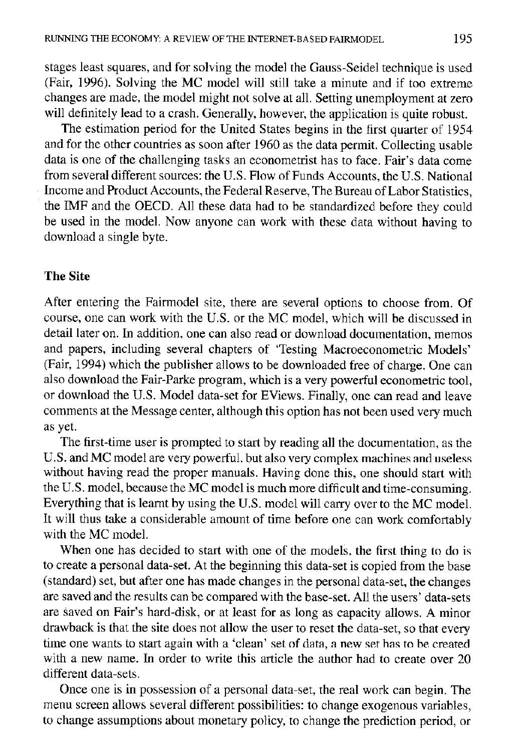stages least squares, and for solving the model the Gauss-Seidel technique is used (Fair, 1996). Solving the MC model will still take a minute and if too extreme changes are made, the model might not solve at all. Setting unemployment at zero will definitely lead to a crash. Generally, however, the application is quite robust.

The estimation period for the United States begins in the first quarter of 1954 and for the other countries as soon after 1960 as the data permit. Collecting usable data is one of the challenging tasks an econometrist has to face. Fair's data come from several different sources: the U.S. Flow of Funds Accounts. the U.S. National Income and Product Accounts, the Federal Reserve; The Bureau of Labor Statistics, the IMF and the OECD. All these data had to be standardized before they could be used in the model. Now anyone can work with these data without having to download a single byte.

#### **The Site**

After entering the Fairmodel site, there are several options to choose from. Of course, one can work with the U.S. or the MC model, which will be discussed in detail later on. In addition, one can also read or download documentation, memos and papers, including several chapters of 'Testing Macroeconometric Models' (Fair, 1994) which the publisher allows to be downloaded free of charge. One can also download the Fair-Parke program, which is a very powerful econometric tool, or download the U.S. Model data-set for EViews. Finally, one can read and leave comments at the Message center, although this option has not been used very much as yet.

The first-time user is prompted to start by reading all the documentation, as the U.S. and MC model are very powerful, but also very complex machines and useless without having read the proper manuals. Having done this, one should start with the U.S. model, because the MC model is much more difficult and time-consuming. Everything that is learnt by using the U.S. model will carry over to the MC model. It will thus take a considerable amount of time before one can work comfortably with the MC model.

When one has decided to start with one of the models, the first thing to do is to create a personal data-set. At the beginning this data-set is copied from the base (standard) set, but after one has made changes in the personal data-set, the changes are saved and the results can be compared with the base-set. All the users' data-sets are saved on Fair's hard-disk, or at least for as long as capacity allows, A minor drawback is that the site does not allow the user to reset the data-set, so that every time one wants to start again with a 'clean' set of data, a new set has to be created with a new name. In order to write this article the author had to create over 20 different data-sets.

Once one is in possession of a personal data-set, the real work can begin, The menu screen allows several different possibilities: to change exogenous variables, to change assumptions about monetary policy, to change the prediction period, or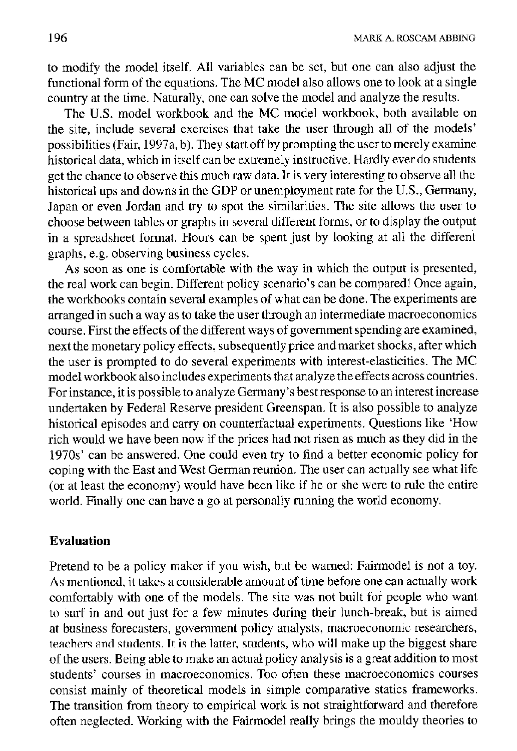to modify the model itself. All variables can be set, but one can also adjust the functional form of the equations. The MC model also allows one to look at a single country at the time. Naturally, one can solve the model and analyze the results.

The U.S. model workbook and the MC model workbook, both available on the site, include several exercises that take the user through all of the models' possibilities (Fair, 1997a, b). They start off by prompting the user to merely examine historical data, which in itself can be extremely instructive. Hardly ever do students get the chance to observe this much raw data. It is very interesting to observe all the historical ups and downs in the GDP or unemployment rate for the U.S., Germany, Japan or even Jordan and try to spot the similarities. The site allows the user to choose between tables or graphs in several different forms, or to display the output in a spreadsheet format. Hours can be spent just by looking at all the different graphs, e.g. observing business cycles.

As soon as one is comfortable with the way in which the output is presented, the real work can begin. Different policy scenario's can be compared! Once again, the workbooks contain several examples of what can be done. The experiments are arranged in such a way as to take the user through an intermediate macroeconomics course. First the effects of the different ways of government spending are examined, next the monetary policy effects. subsequently price andmarket shocks, after which the user is prompted to do several experiments with interest-elasticities. The MC model workbook also includes experiments that analyze the effects across countries. For instance, it is possible to analyze Germany's best response to an interest increase undertaken by Federal Reserve president Greenspan. It is also possible to analyze historical episodes and carry on counterfactual experiments. Questions like 'How rich would we have been now if the prices had not risen as much as they did in the 1970s' can be answered. One could even try to find a better economic policy for coping with the East and West German reunion. The user can actually see what life (or at least the economy) would have been like if he or she were to rule the entire world. Finally one can have a go at personally running the world economy.

# **Evaluation**

Pretend to be a policy maker if you wish, but be warned: Fairmodel is not a toy. As mentioned, it takes a considerable amount of time before one can actually work comfortably with one of the models. The site was not built for people who want to surf in and out just for a few minutes during their lunch-break, but is aimed at business forecasters, government policy analysts, macroeconomic researchers, teachers and students. It is the latter. students, who will make up the biggest share of the users. Being able to make an actual policy analysis is a great addition to most students' courses in macroeconomics. Too often these macroeconomics courses consist mainly of theoretical models in simple comparative statics frameworks. The transition from theory to empirical work is not straightforward and therefore often neglected. Working with the Fairmodel really brings the mouldy theories to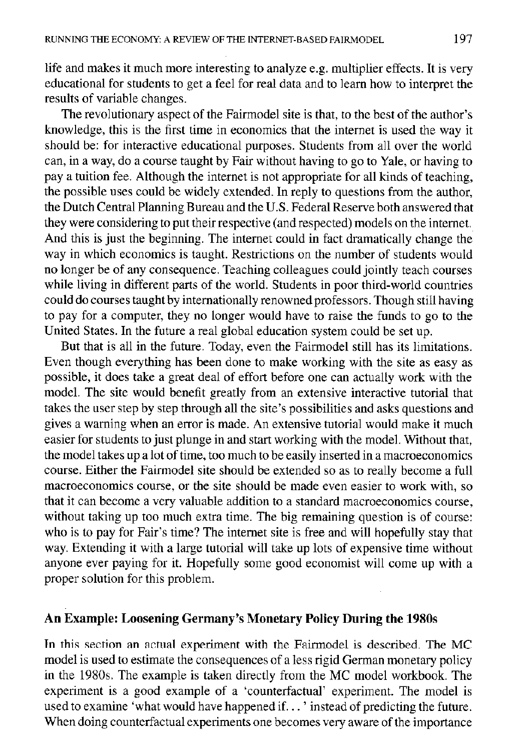**life** and makes it much more interesting to analyze e.g. multiplier effects. It is very educational for students to get a feel for real data and to learn how to interpret the results of variable changes.

The revolutionary aspect of the Fairmodel site is that, to the best of the author's knowledge, this is the first time in economics that the internet is used the way it should be: for interactive educational purposes. Students from all over the world can, in a way, do a course taught by Fair without having to go to Yale, or having to pay a tuition fee. Although the internet is not appropriate for all kinds of teaching, the possible uses could be widely extended. In reply to questions from the author, the Dutch Central Planning Bureau and the U.S. Federal Reserve both answered that they were considering to put their respective (and respected) models on the internet. And this is just the beginning. The internet could in fact dramatically change the way in which economics is taught. Restrictions on the number of students would no longer be of any consequence. Teaching colleagues could jointly teach courses while living in different parts of the world. Students in poor third-world countries could do courses taught by internationally renowned professors. Though still having to pay for a computer, they no longer would have to raise the funds to go to the United States. In the future a real global education system could be set up.

But that is all in the future. Today, even the Fairmodel still has its limitations. Even though everything has been done to make working with the site as easy as possible, it does take a great deal of effort before one can actually work with the model. The site would benefit greatly from an extensive interactive tutorial that takes the user step by step through all the site's possibilities and asks questions and gives a warning when an error is made. An extensive tutorial would make it much easier for students to just plunge in and start working with the model. Without that, the model takes up a lot of time, too much to be easily inserted in a macroeconomics course. Either the Fairmodel site should be extended so as to really become a full macroeconomics course, or the site should be made even easier to work with, so that it can become a very valuable addition to a standard macroeconomics course, without taking up too much extra time. The big remaining question is of course: who is to pay for Fair's time? The intemet site is free and will hopefully stay that way. Extending it with a large tutorial will take up lots of expensive time without anyone ever paying for it. Hopefully some good economist will come up with a proper solution for this problem.

# An Example: Loosening Germany's Monetary Policy During the 1980s

In this section an actual experiment with the Fairmodel is described. The MC model is used to estimate the consequences of a less rigid German monetary policy in the 1980s. The example is taken directly from the MC model workbook. The experiment is a good example of a 'counterfactual' experiment. The model is used to examine 'what would have happened if.. ' instead of predicting the future. When doing counterfactual experiments one becomes very aware of the importance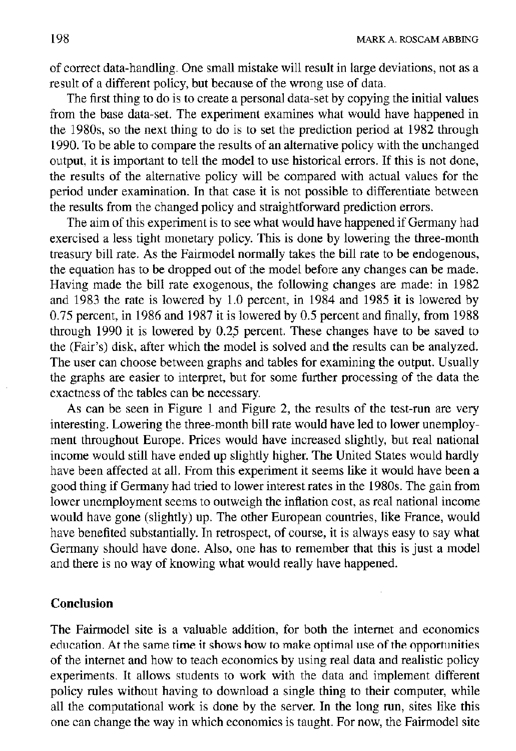of correct data-handling. One small mistake will result in large deviations, not as a result of a different policy, but because of the wrong use of data.

The first thing to do is to create a personal data-set by copying the initial values from the base data-set. The experiment examines what would have happened in the 1980s, so the next thing to do is to set the prediction period at 1982 through 1990. To be able to compare the results of an alternative policy with the unchanged output, it is important to tell the model to use historical errors. If this is not done, the results of the alternative policy will be compared with actual values for the period under examination. In that case it is not possible to differentiate between the results from the changed policy and straightforward prediction errors.

The aim of this experiment is to see what would have happened if Germany had exercised a less tight monetary policy. This is done by lowering the three-month treasury bill rate. As the Fairmodel normally takes the bill rate to be endogenous, the equation has to be dropped out of the model before any changes can be made. Having made the bill rate exogenous, the following changes are made: in 1982 and 1983 the rate is lowered by 1.0 percent, in 1984 and 1985 it is lowered by 0.75 percent, in 1986 and 1987 it is lowered by 0.5 percent and finally, from 1988 through 1990 it is lowered by 0.25 percent. These changes have to be saved to the (Fair's) disk, after which the model is solved and the results can be analyzed. The user can choose between graphs and tables for examining the output. Usually the graphs are easier to interpret, but for some further processing of the data the exactness of the tables can be necessary.

As can be seen in Figure 1 and Figure 2, the results of the test-run are very interesting. Lowering the three-month bill rate would have led to lower unemployment throughout Europe. Prices would have increased slightly, but real national income would still have ended up slightly higher. The United States would hardly have been affected at all. From this experiment it seems like it would have been a good thing if Germany had tried to lower interest rates in the 1980s. The gain from lower unemployment seems to outweigh the inflation cost, as real national income would have gone (slightly) up. The other European countries, like France, would have benefited substantially. In retrospect, of course, it is always easy to say what Germany should have done. Also, one has to remember that this is just a model and there is no way of knowing what would really have happened.

#### **Conclusion**

The Fairmodel site is a valuable addition, for both the internet and economics education. At the same time it shows how to make optimal use of the opportunities of the intemet and how to teach economics by using real data and realistic policy experiments. It allows students to work with the data and implement different policy rules without having to download a single thing to their computer, while all the computational work is done by the server. In the long run, sites like this one can change the way in which economics is taught. For now, the Fairmodel site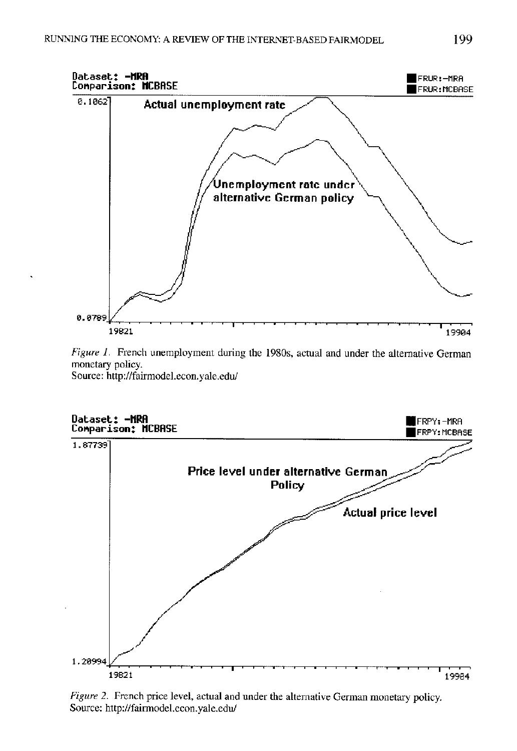

*Figure I.* French unemployment during the 1980s. actual and under the alternative German monetary policy.<br>Source: http://fairmodel.econ.yale.edu/



Figure 2. French price level, actual and under the alternative German monetary policy. Source: http://fairmodel.econ.yale.edu/